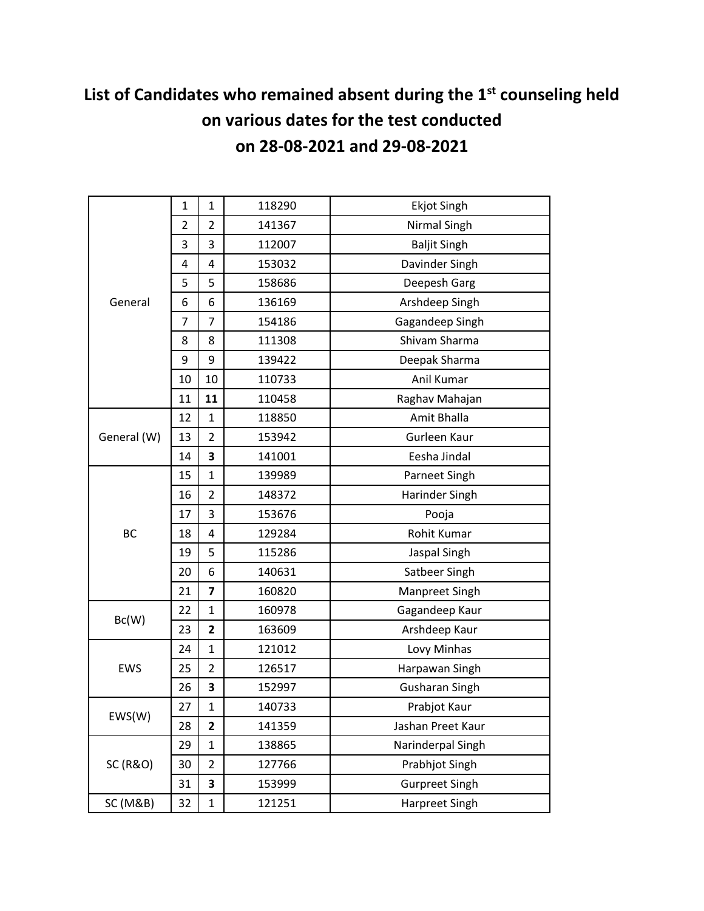# **List of Candidates who remained absent during the 1st counseling held on various dates for the test conducted on 28-08-2021 and 29-08-2021**

|                     | 1              | $\mathbf{1}$   | 118290 | <b>Ekjot Singh</b>    |
|---------------------|----------------|----------------|--------|-----------------------|
|                     | $\overline{2}$ | $\overline{2}$ | 141367 | Nirmal Singh          |
|                     | 3              | 3              | 112007 | <b>Baljit Singh</b>   |
|                     | 4              | 4              | 153032 | Davinder Singh        |
|                     | 5              | 5              | 158686 | Deepesh Garg          |
| General             | 6              | 6              | 136169 | Arshdeep Singh        |
|                     | $\overline{7}$ | $\overline{7}$ | 154186 | Gagandeep Singh       |
|                     | 8              | 8              | 111308 | Shivam Sharma         |
|                     | 9              | 9              | 139422 | Deepak Sharma         |
|                     | 10             | 10             | 110733 | Anil Kumar            |
|                     | 11             | 11             | 110458 | Raghav Mahajan        |
|                     | 12             | $\mathbf{1}$   | 118850 | Amit Bhalla           |
| General (W)         | 13             | $\overline{2}$ | 153942 | Gurleen Kaur          |
|                     | 14             | 3              | 141001 | Eesha Jindal          |
|                     | 15             | $\mathbf{1}$   | 139989 | Parneet Singh         |
|                     | 16             | $\overline{2}$ | 148372 | Harinder Singh        |
|                     | 17             | 3              | 153676 | Pooja                 |
| <b>BC</b>           | 18             | 4              | 129284 | Rohit Kumar           |
|                     | 19             | 5              | 115286 | Jaspal Singh          |
|                     | 20             | 6              | 140631 | Satbeer Singh         |
|                     | 21             | 7              | 160820 | Manpreet Singh        |
| Bc(W)               | 22             | $\mathbf{1}$   | 160978 | Gagandeep Kaur        |
|                     | 23             | $\overline{2}$ | 163609 | Arshdeep Kaur         |
| <b>EWS</b>          | 24             | $\mathbf{1}$   | 121012 | Lovy Minhas           |
|                     | 25             | $\overline{2}$ | 126517 | Harpawan Singh        |
|                     | 26             | 3              | 152997 | <b>Gusharan Singh</b> |
| EWS(W)              | 27             | $\mathbf 1$    | 140733 | Prabjot Kaur          |
|                     | 28             | 2              | 141359 | Jashan Preet Kaur     |
| <b>SC (R&amp;O)</b> | 29             | $\mathbf{1}$   | 138865 | Narinderpal Singh     |
|                     | 30             | $\overline{2}$ | 127766 | Prabhjot Singh        |
|                     | 31             | 3              | 153999 | <b>Gurpreet Singh</b> |
| SC (M&B)            | 32             | $\mathbf{1}$   | 121251 | Harpreet Singh        |
|                     |                |                |        |                       |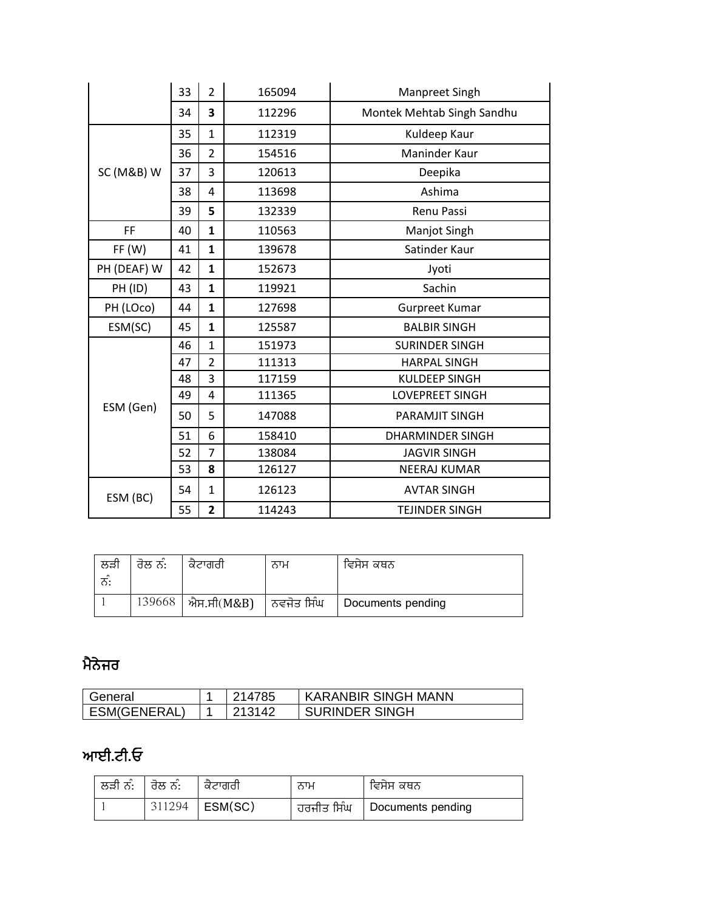|             | 33<br>$\overline{2}$<br>165094 |                         |        | Manpreet Singh             |
|-------------|--------------------------------|-------------------------|--------|----------------------------|
|             | 34                             | 3                       | 112296 | Montek Mehtab Singh Sandhu |
|             | 35                             | $\mathbf{1}$            | 112319 | Kuldeep Kaur               |
|             | 36                             | $\overline{2}$          | 154516 | Maninder Kaur              |
| SC (M&B) W  | 37                             | 3                       | 120613 | Deepika                    |
|             | 38                             | 4                       | 113698 | Ashima                     |
|             | 39                             | 5                       | 132339 | <b>Renu Passi</b>          |
| FF          | 40                             | $\mathbf{1}$            | 110563 | Manjot Singh               |
| FF(W)       | 41                             | $\mathbf{1}$            | 139678 | Satinder Kaur              |
| PH (DEAF) W | 42                             | $\mathbf{1}$            | 152673 | Jyoti                      |
| PH (ID)     | 43                             | 1                       | 119921 | Sachin                     |
| PH (LOco)   | 44                             | 1                       | 127698 | Gurpreet Kumar             |
| ESM(SC)     | 45                             | $\mathbf{1}$            | 125587 | <b>BALBIR SINGH</b>        |
|             | 46                             | $\mathbf{1}$            | 151973 | <b>SURINDER SINGH</b>      |
|             | 47                             | $\overline{2}$          | 111313 | <b>HARPAL SINGH</b>        |
|             | 48                             | 3                       | 117159 | <b>KULDEEP SINGH</b>       |
| ESM (Gen)   | 49                             | 4                       | 111365 | <b>LOVEPREET SINGH</b>     |
|             | 50                             | 5                       | 147088 | PARAMJIT SINGH             |
|             | 51                             | 6                       | 158410 | <b>DHARMINDER SINGH</b>    |
|             | 52                             | 7                       | 138084 | <b>JAGVIR SINGH</b>        |
|             | 53                             | 8                       | 126127 | <b>NEERAJ KUMAR</b>        |
| ESM (BC)    | 54                             | $\mathbf{1}$            | 126123 | <b>AVTAR SINGH</b>         |
|             | 55                             | $\overline{\mathbf{2}}$ | 114243 | <b>TEJINDER SINGH</b>      |

| ਲੜੀ<br>ਨ: | ਰੋਲ ਨੰ: | ਕੋਟਾਗਰੀ                    | ਨਾਮ | ਵਿਸੇਸ ਕਥਨ         |
|-----------|---------|----------------------------|-----|-------------------|
|           | 139668  | ∣ ਐਸ.ਸੀ(M&B)  ∣ ਨਵਜੋਤ ਸਿੰਘ |     | Documents pending |

## ਮੈਨੇਜਰ

| General        | 214785 | ' KARANBIR SINGH MANN |
|----------------|--------|-----------------------|
| I ESM(GENERAL) | 213142 | I SURINDER SINGH      |

## ਆਈ**.**ਟੀ**.**ਓ

| ਲੜੀ ਨੰ: │ ਰੋਲ ਨੰ: |        | ਕੋਟਾਗਰੀ         | ਨਾਮ | ਵਿਸੋਸ ਕਥਨ                      |
|-------------------|--------|-----------------|-----|--------------------------------|
|                   | 311294 | $\vert$ ESM(SC) |     | ਹਰਜੀਤ ਸਿੰਘ   Documents pending |